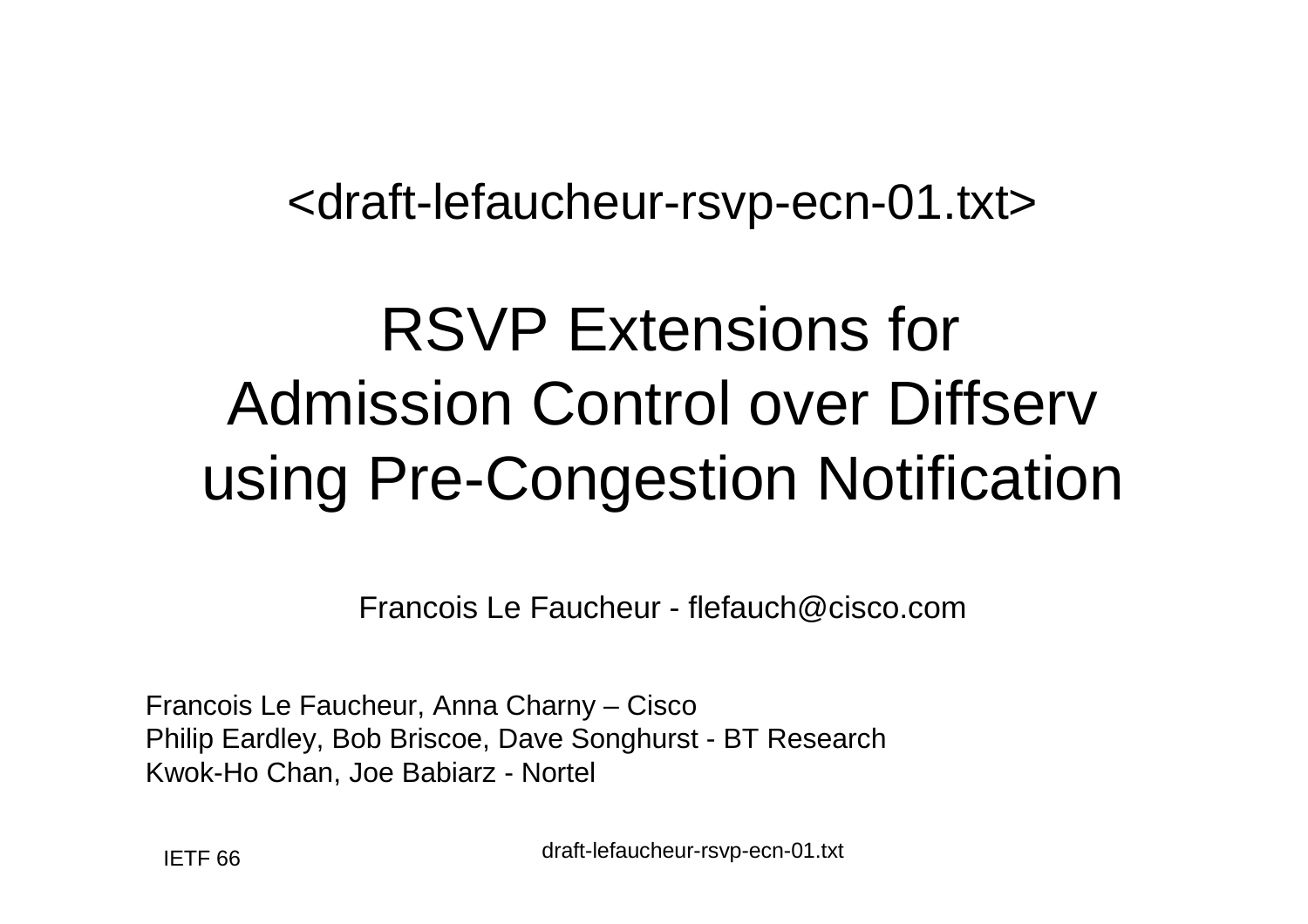#### <draft-lefaucheur-rsvp-ecn-01.txt>

### RSVP Extensions for Admission Control over Diffserv using Pre-Congestion Notification

Francois Le Faucheur - flefauch@cisco.com

Francois Le Faucheur, Anna Charny – Cisco Philip Eardley, Bob Briscoe, Dave Songhurst - BT ResearchKwok-Ho Chan, Joe Babiarz - Nortel

draft-lefaucheur-rsvp-ecn-01.txt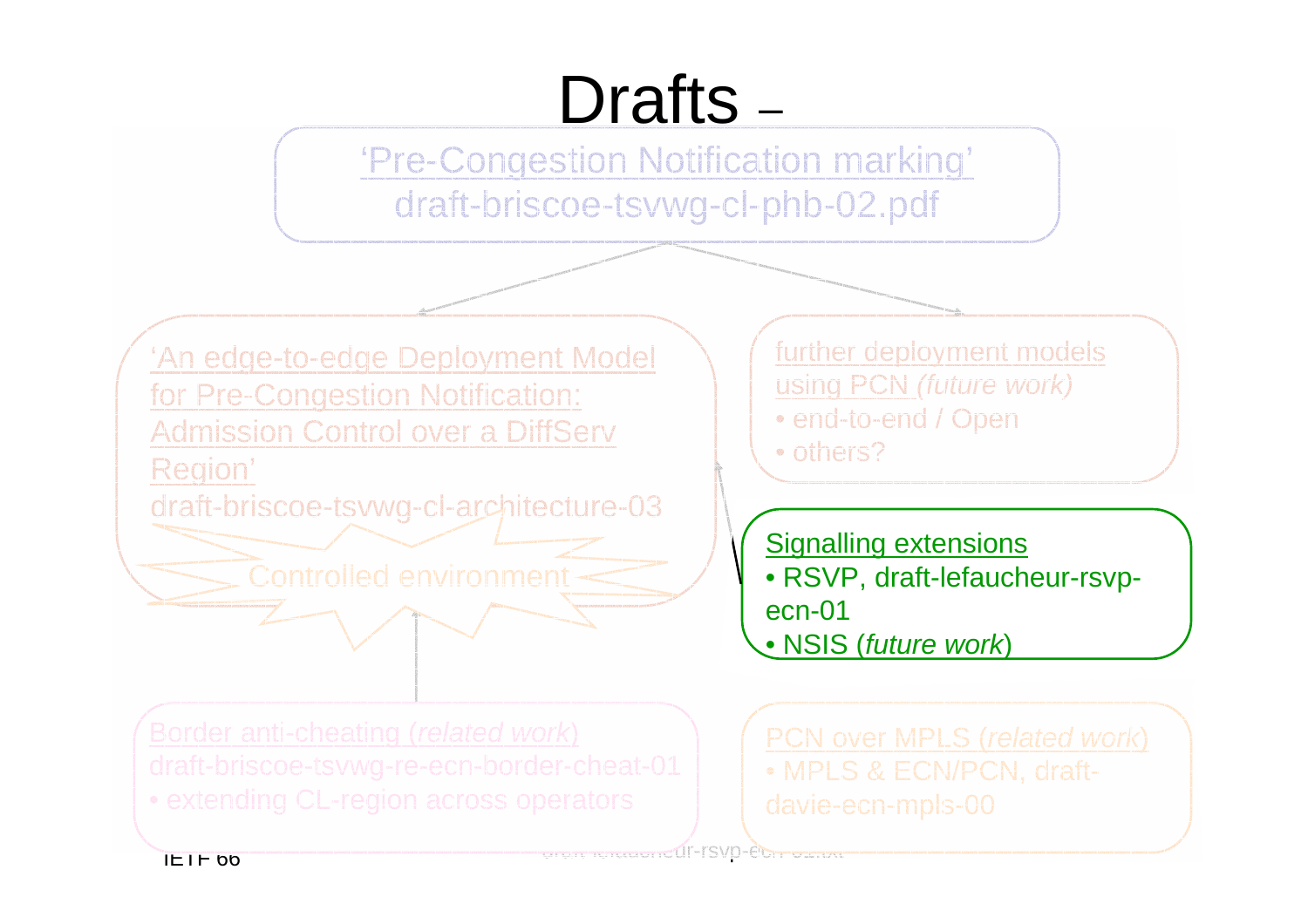# Drafts –

'Pre-Congestion Notification marking' draft-briscoe-tsvwg-cl-phb-02.pdf



further deployment models using PCN (future work)• end-to-end / Open

• others?

Signalling extensions • RSVP, draft-lefaucheur-rsvpecn-01<u>• NSIS (future work)</u>

PCN over MPLS (related work)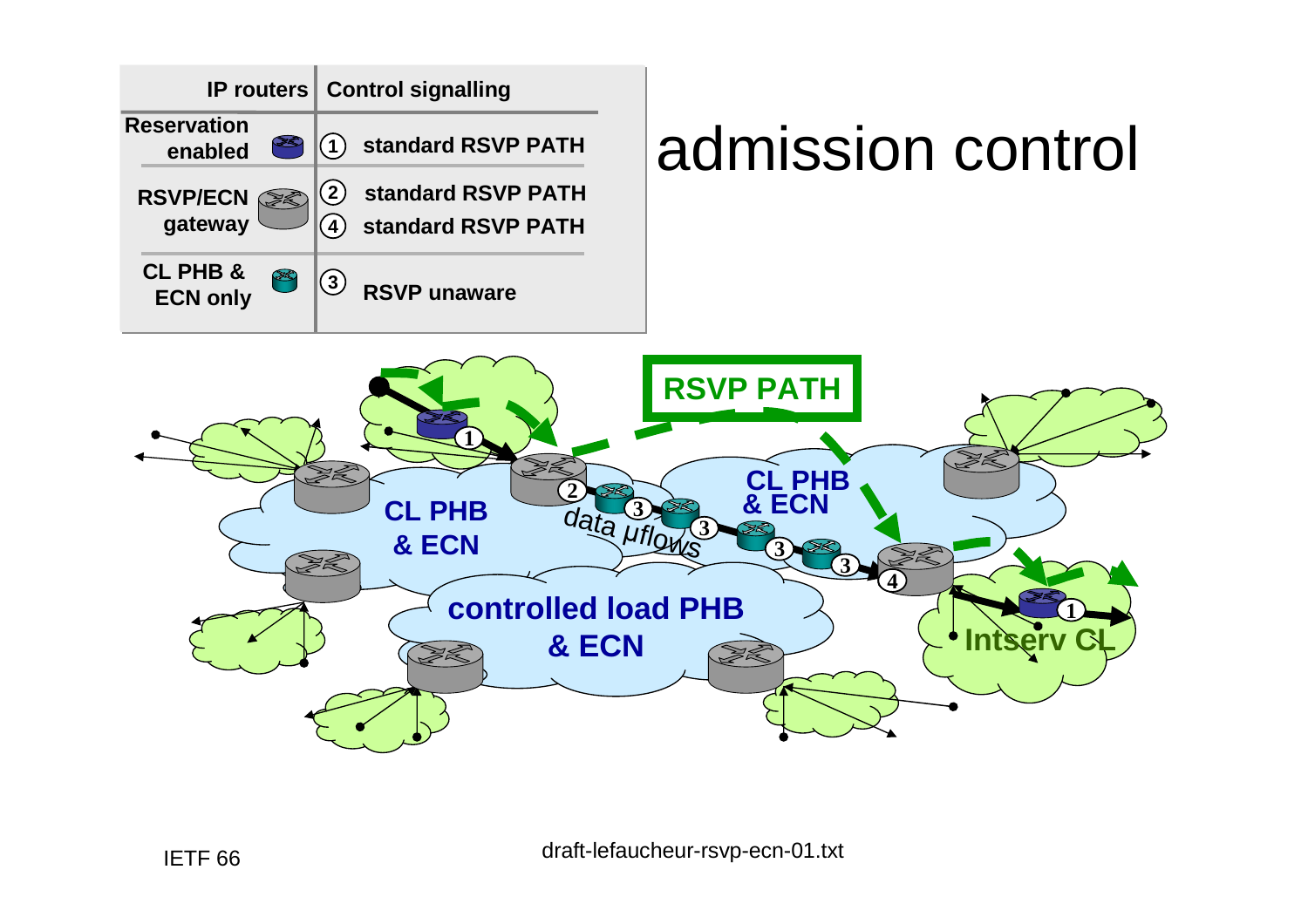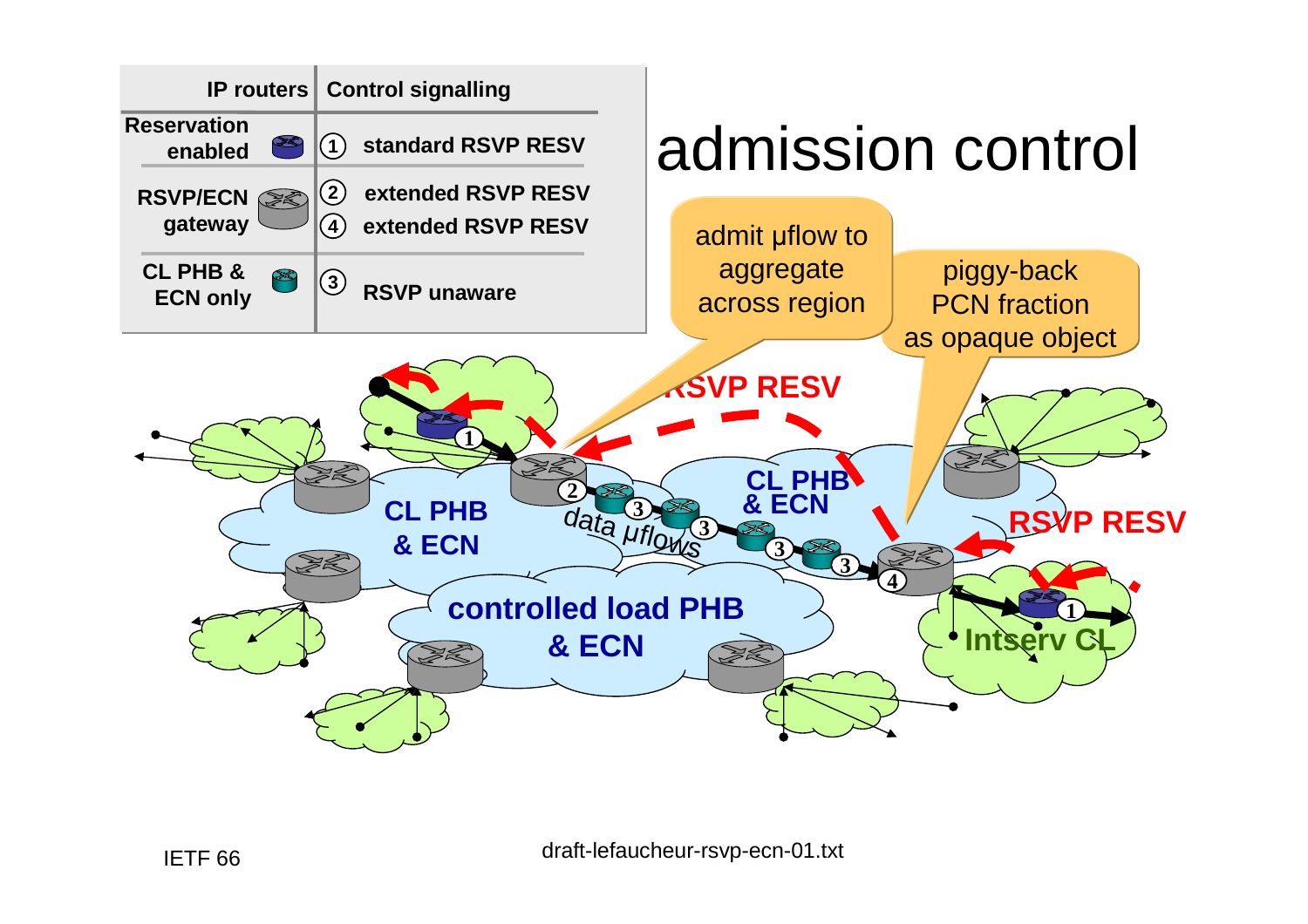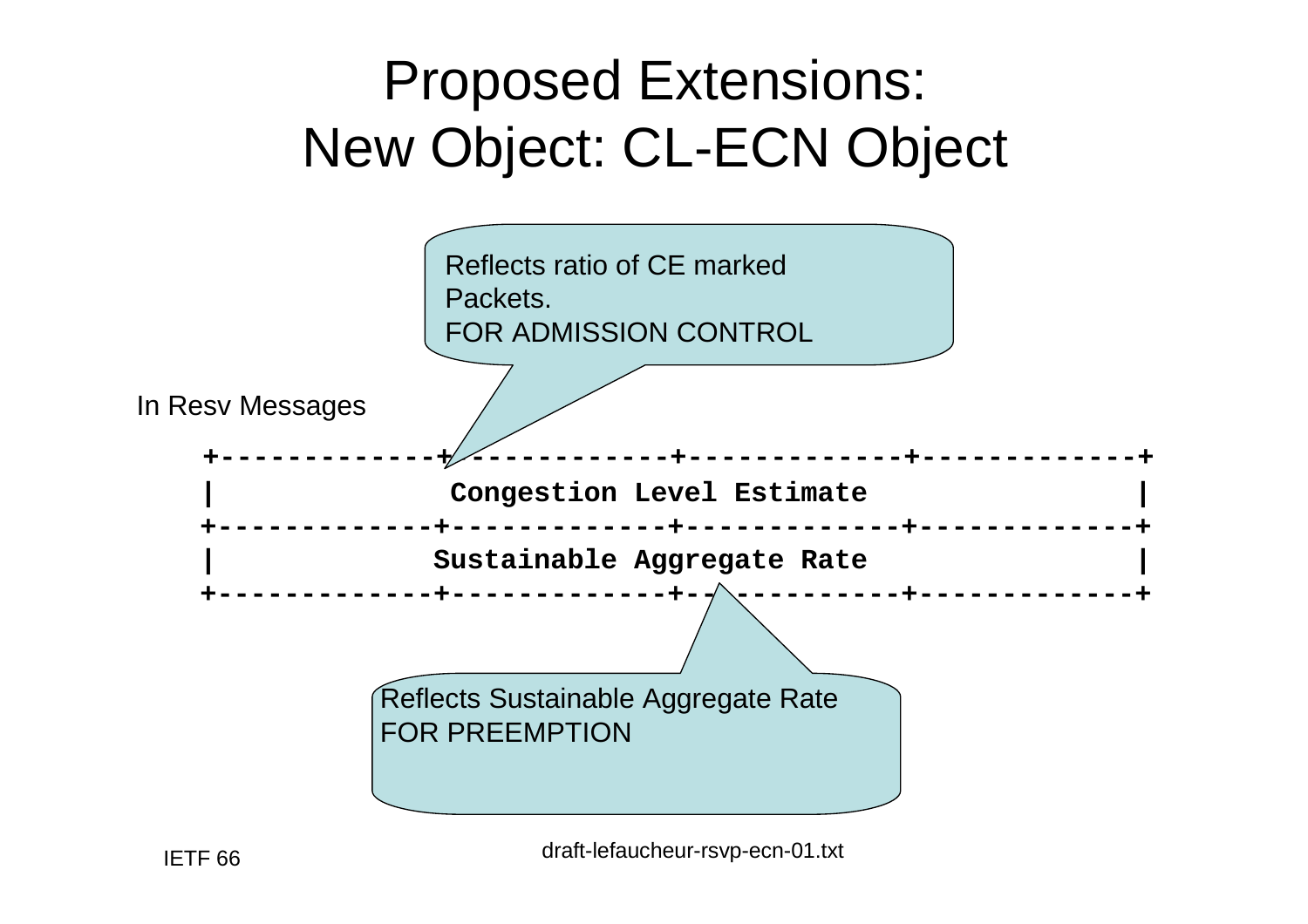### Proposed Extensions:New Object: CL-ECN Object

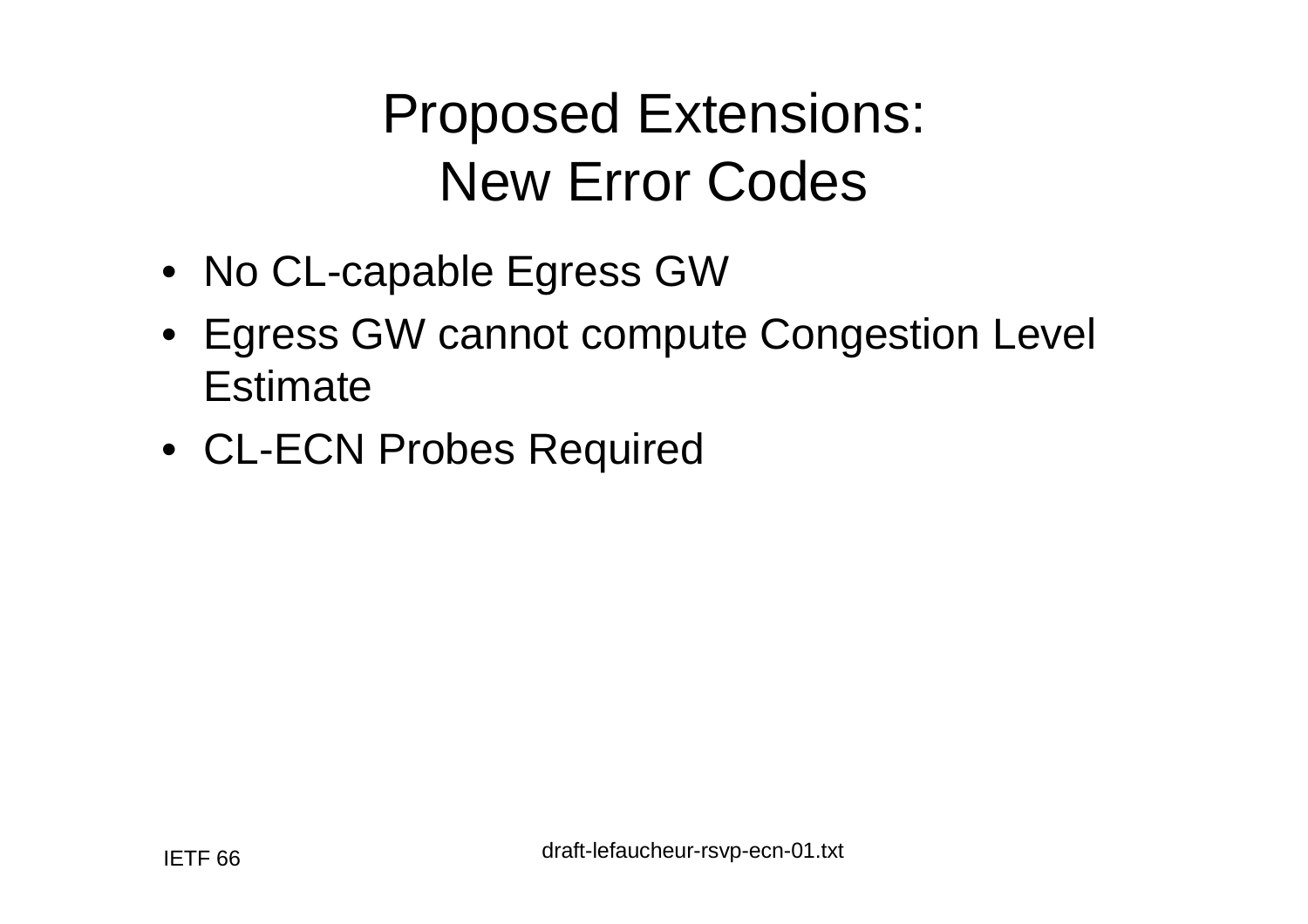#### Proposed Extensions:New Error Codes

- No CL-capable Egress GW
- Egress GW cannot compute Congestion Level **Estimate**
- CL-ECN Probes Required